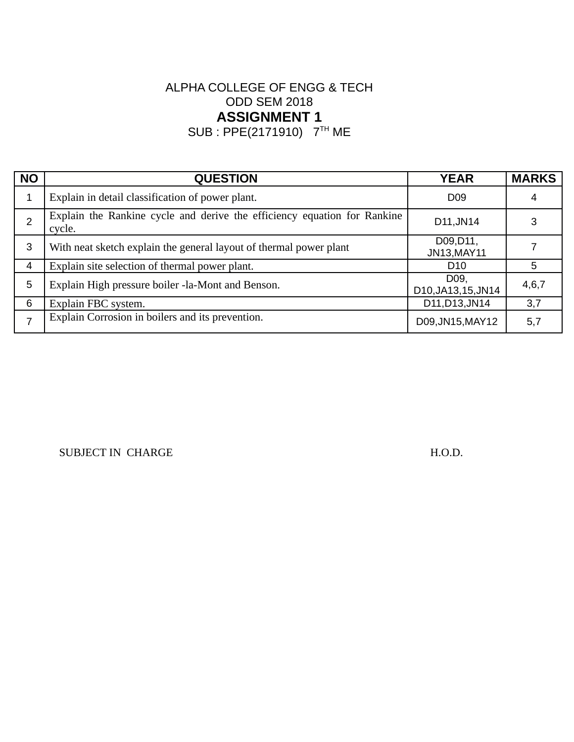SUB : PPE(2171910) 7TH ME

| <b>NO</b>      | <b>QUESTION</b>                                                                    | <b>YEAR</b>                 | <b>MARKS</b> |
|----------------|------------------------------------------------------------------------------------|-----------------------------|--------------|
| 1              | Explain in detail classification of power plant.                                   | D <sub>09</sub>             | 4            |
| $\overline{2}$ | Explain the Rankine cycle and derive the efficiency equation for Rankine<br>cycle. | D11, JN14                   | 3            |
| 3              | With neat sketch explain the general layout of thermal power plant                 | D09, D11,<br>JN13, MAY11    |              |
| 4              | Explain site selection of thermal power plant.                                     | D <sub>10</sub>             | 5            |
| 5              | Explain High pressure boiler -la-Mont and Benson.                                  | D09.<br>D10, JA13, 15, JN14 | 4,6,7        |
| 6              | Explain FBC system.                                                                | D11, D13, JN14              | 3,7          |
| ⇁              | Explain Corrosion in boilers and its prevention.                                   | D09, JN15, MAY12            | 5,7          |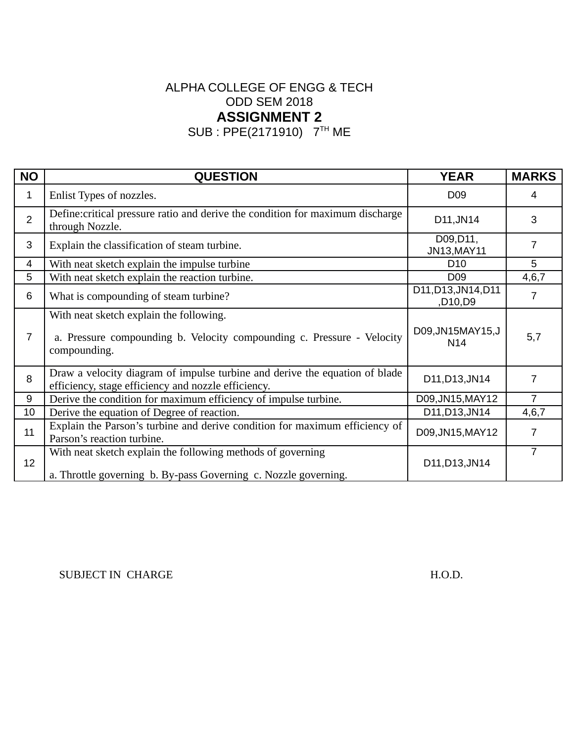SUB : PPE(2171910) 7TH ME

| <b>NO</b>      | <b>QUESTION</b>                                                                                                                    | <b>YEAR</b>                    | <b>MARKS</b>   |
|----------------|------------------------------------------------------------------------------------------------------------------------------------|--------------------------------|----------------|
| 1              | Enlist Types of nozzles.                                                                                                           | D <sub>09</sub>                | 4              |
| $\overline{2}$ | Define: critical pressure ratio and derive the condition for maximum discharge<br>through Nozzle.                                  | D11, JN14                      | 3              |
| 3              | Explain the classification of steam turbine.                                                                                       | D09, D11,<br>JN13, MAY11       | 7              |
| 4              | With neat sketch explain the impulse turbine                                                                                       | D <sub>10</sub>                | 5              |
| 5              | With neat sketch explain the reaction turbine.                                                                                     | D <sub>09</sub>                | 4,6,7          |
| $6\phantom{1}$ | What is compounding of steam turbine?                                                                                              | D11, D13, JN14, D11<br>,D10,D9 | 7              |
| 7              | With neat sketch explain the following.<br>a. Pressure compounding b. Velocity compounding c. Pressure - Velocity<br>compounding.  | D09, JN15MAY15, J<br>N14       | 5,7            |
| 8              | Draw a velocity diagram of impulse turbine and derive the equation of blade<br>efficiency, stage efficiency and nozzle efficiency. | D11, D13, JN14                 | 7              |
| 9              | Derive the condition for maximum efficiency of impulse turbine.                                                                    | D09, JN15, MAY12               | $\overline{7}$ |
| 10             | Derive the equation of Degree of reaction.                                                                                         | D11, D13, JN14                 | 4,6,7          |
| 11             | Explain the Parson's turbine and derive condition for maximum efficiency of<br>Parson's reaction turbine.                          | D09, JN15, MAY12               | 7              |
| 12             | With neat sketch explain the following methods of governing<br>a. Throttle governing b. By-pass Governing c. Nozzle governing.     | D11, D13, JN14                 | $\overline{7}$ |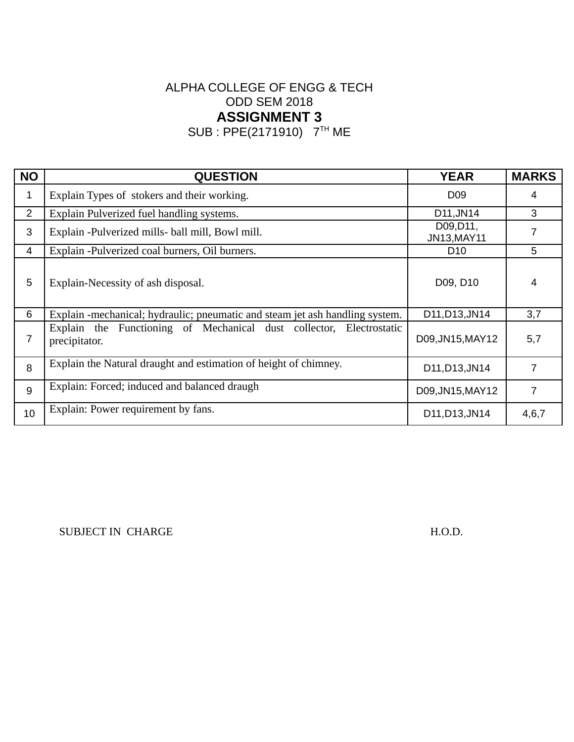SUB : PPE(2171910) 7TH ME

| <b>NO</b>      | <b>QUESTION</b>                                                                      | <b>YEAR</b>              | <b>MARKS</b> |
|----------------|--------------------------------------------------------------------------------------|--------------------------|--------------|
| 1              | Explain Types of stokers and their working.                                          | D <sub>09</sub>          | 4            |
| $\overline{2}$ | Explain Pulverized fuel handling systems.                                            | D11, JN14                | 3            |
| 3              | Explain -Pulverized mills- ball mill, Bowl mill.                                     | D09, D11,<br>JN13, MAY11 | 7            |
| 4              | Explain -Pulverized coal burners, Oil burners.                                       | D <sub>10</sub>          | 5            |
| 5              | Explain-Necessity of ash disposal.                                                   | D09, D10                 | 4            |
| 6              | Explain -mechanical; hydraulic; pneumatic and steam jet ash handling system.         | D11, D13, JN14           | 3,7          |
| 7              | Explain the Functioning of Mechanical dust collector, Electrostatic<br>precipitator. | D09, JN15, MAY 12        | 5,7          |
| 8              | Explain the Natural draught and estimation of height of chimney.                     | D11, D13, JN14           | 7            |
| 9              | Explain: Forced; induced and balanced draugh                                         | D09, JN15, MAY12         | 7            |
| 10             | Explain: Power requirement by fans.                                                  | D11, D13, JN14           | 4,6,7        |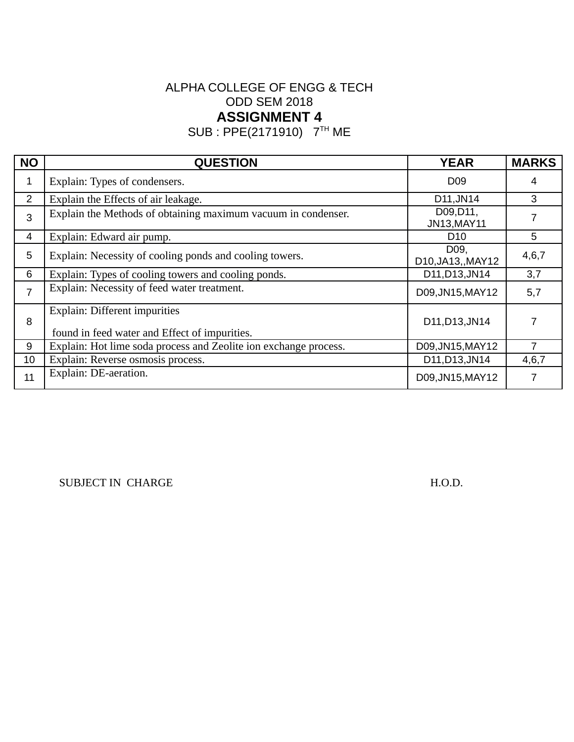SUB : PPE(2171910) 7TH ME

| <b>NO</b>      | <b>QUESTION</b>                                                                | <b>YEAR</b>                | <b>MARKS</b> |
|----------------|--------------------------------------------------------------------------------|----------------------------|--------------|
| 1              | Explain: Types of condensers.                                                  | D <sub>09</sub>            | 4            |
| $\overline{2}$ | Explain the Effects of air leakage.                                            | D11, JN14                  | 3            |
| 3              | Explain the Methods of obtaining maximum vacuum in condenser.                  | D09, D11,<br>JN13, MAY11   |              |
| 4              | Explain: Edward air pump.                                                      | D <sub>10</sub>            | 5            |
| 5              | Explain: Necessity of cooling ponds and cooling towers.                        | D09,<br>D10, JA13, , MAY12 | 4,6,7        |
| 6              | Explain: Types of cooling towers and cooling ponds.                            | D11, D13, JN14             | 3,7          |
| $\overline{7}$ | Explain: Necessity of feed water treatment.                                    | D09, JN15, MAY12           | 5,7          |
| 8              | Explain: Different impurities<br>found in feed water and Effect of impurities. | D11, D13, JN14             |              |
| 9              | Explain: Hot lime soda process and Zeolite ion exchange process.               | D09, JN15, MAY 12          |              |
| 10             | Explain: Reverse osmosis process.                                              | D11, D13, JN14             | 4,6,7        |
| 11             | Explain: DE-aeration.                                                          | D09, JN15, MAY12           |              |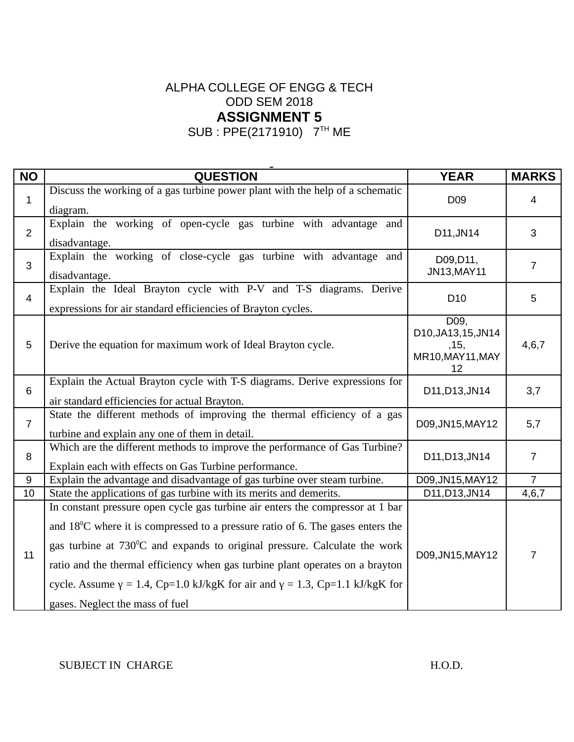SUB : PPE(2171910) 7TH ME

| <b>NO</b>      | <b>QUESTION</b>                                                                                                                                                                                                                                                                                                                                                                                                                                                          | <b>YEAR</b>                                                    | <b>MARKS</b>   |
|----------------|--------------------------------------------------------------------------------------------------------------------------------------------------------------------------------------------------------------------------------------------------------------------------------------------------------------------------------------------------------------------------------------------------------------------------------------------------------------------------|----------------------------------------------------------------|----------------|
| $\mathbf{1}$   | Discuss the working of a gas turbine power plant with the help of a schematic<br>diagram.                                                                                                                                                                                                                                                                                                                                                                                | D <sub>09</sub>                                                | $\overline{4}$ |
| $\overline{2}$ | Explain the working of open-cycle gas turbine with advantage and<br>disadvantage.                                                                                                                                                                                                                                                                                                                                                                                        | D11, JN14                                                      | 3              |
| 3              | Explain the working of close-cycle gas turbine with advantage and<br>disadvantage.                                                                                                                                                                                                                                                                                                                                                                                       | D09, D11,<br>JN13, MAY11                                       | $\overline{7}$ |
| $\overline{4}$ | Explain the Ideal Brayton cycle with P-V and T-S diagrams. Derive<br>expressions for air standard efficiencies of Brayton cycles.                                                                                                                                                                                                                                                                                                                                        | D10                                                            | 5              |
| 5              | Derive the equation for maximum work of Ideal Brayton cycle.                                                                                                                                                                                                                                                                                                                                                                                                             | D09,<br>D10, JA13, 15, JN14<br>, 15,<br>MR10, MAY11, MAY<br>12 | 4,6,7          |
| $6\phantom{1}$ | Explain the Actual Brayton cycle with T-S diagrams. Derive expressions for<br>air standard efficiencies for actual Brayton.                                                                                                                                                                                                                                                                                                                                              | D11, D13, JN14                                                 | 3,7            |
| $\overline{7}$ | State the different methods of improving the thermal efficiency of a gas<br>turbine and explain any one of them in detail.                                                                                                                                                                                                                                                                                                                                               | D09, JN15, MAY12                                               | 5,7            |
| 8              | Which are the different methods to improve the performance of Gas Turbine?<br>Explain each with effects on Gas Turbine performance.                                                                                                                                                                                                                                                                                                                                      | D11, D13, JN14                                                 | $\overline{7}$ |
| 9              | Explain the advantage and disadvantage of gas turbine over steam turbine.                                                                                                                                                                                                                                                                                                                                                                                                | D09, JN15, MAY12                                               | $\overline{7}$ |
| 10             | State the applications of gas turbine with its merits and demerits.                                                                                                                                                                                                                                                                                                                                                                                                      | D11, D13, JN14                                                 | 4,6,7          |
| 11             | In constant pressure open cycle gas turbine air enters the compressor at 1 bar<br>and $18^{\circ}$ C where it is compressed to a pressure ratio of 6. The gases enters the<br>gas turbine at 730°C and expands to original pressure. Calculate the work<br>ratio and the thermal efficiency when gas turbine plant operates on a brayton<br>cycle. Assume $\gamma$ = 1.4, Cp=1.0 kJ/kgK for air and $\gamma$ = 1.3, Cp=1.1 kJ/kgK for<br>gases. Neglect the mass of fuel | D09, JN15, MAY12                                               | 7              |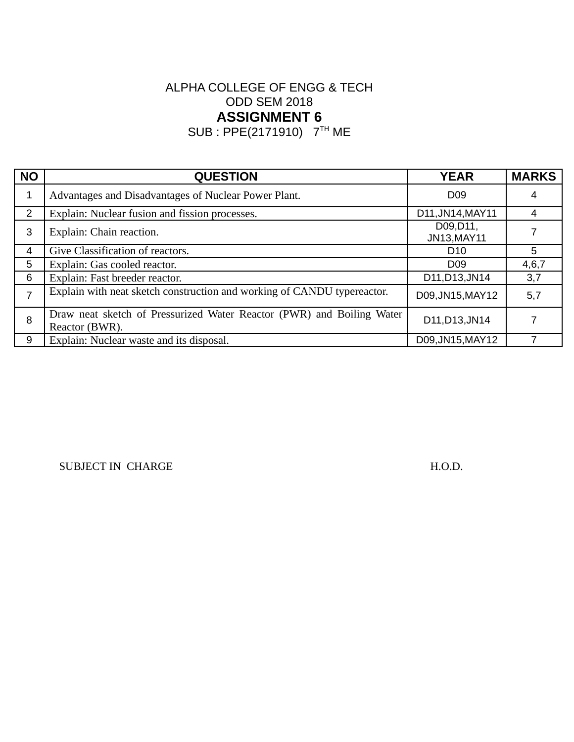SUB : PPE(2171910) 7TH ME

| <b>NO</b>      | <b>QUESTION</b>                                                                         | <b>YEAR</b>              | <b>MARKS</b> |
|----------------|-----------------------------------------------------------------------------------------|--------------------------|--------------|
| 1              | Advantages and Disadvantages of Nuclear Power Plant.                                    | D <sub>09</sub>          | 4            |
| 2              | Explain: Nuclear fusion and fission processes.                                          | D11, JN14, MAY11         | 4            |
| 3              | Explain: Chain reaction.                                                                | D09, D11,<br>JN13, MAY11 |              |
| 4              | Give Classification of reactors.                                                        | D <sub>10</sub>          | 5.           |
| 5              | Explain: Gas cooled reactor.                                                            | D <sub>09</sub>          | 4,6,7        |
| 6              | Explain: Fast breeder reactor.                                                          | D11, D13, JN14           | 3,7          |
| $\overline{7}$ | Explain with neat sketch construction and working of CANDU typereactor.                 | D09, JN15, MAY12         | 5,7          |
| 8              | Draw neat sketch of Pressurized Water Reactor (PWR) and Boiling Water<br>Reactor (BWR). | D11, D13, JN14           |              |
| 9              | Explain: Nuclear waste and its disposal.                                                | D09, JN15, MAY12         |              |